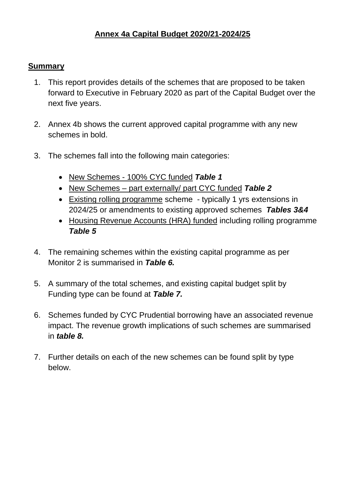# **Annex 4a Capital Budget 2020/21-2024/25**

#### **Summary**

- 1. This report provides details of the schemes that are proposed to be taken forward to Executive in February 2020 as part of the Capital Budget over the next five years.
- 2. Annex 4b shows the current approved capital programme with any new schemes in bold.
- 3. The schemes fall into the following main categories:
	- New Schemes 100% CYC funded *Table 1*
	- New Schemes part externally/ part CYC funded *Table 2*
	- Existing rolling programme scheme typically 1 yrs extensions in 2024/25 or amendments to existing approved schemes *Tables 3&4*
	- Housing Revenue Accounts (HRA) funded including rolling programme *Table 5*
- 4. The remaining schemes within the existing capital programme as per Monitor 2 is summarised in *Table 6.*
- 5. A summary of the total schemes, and existing capital budget split by Funding type can be found at *Table 7.*
- 6. Schemes funded by CYC Prudential borrowing have an associated revenue impact. The revenue growth implications of such schemes are summarised in *table 8.*
- 7. Further details on each of the new schemes can be found split by type below.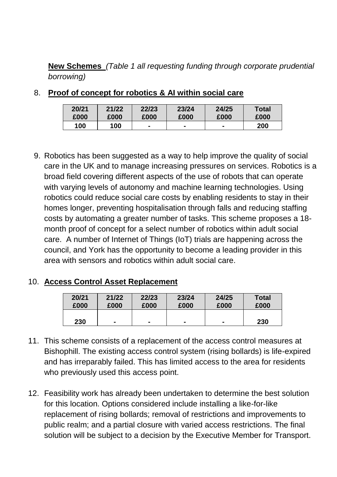**New Schemes** *(Table 1 all requesting funding through corporate prudential borrowing)*

| 20/21 | 21/22 | 22/23          | 23/24 | 24/25 | Total |
|-------|-------|----------------|-------|-------|-------|
| £000  | £000  | £000           | £000  | £000  | £000  |
| 100   | 100   | $\blacksquare$ |       |       | 200   |

8. **Proof of concept for robotics & AI within social care**

9. Robotics has been suggested as a way to help improve the quality of social care in the UK and to manage increasing pressures on services. Robotics is a broad field covering different aspects of the use of robots that can operate with varying levels of autonomy and machine learning technologies. Using robotics could reduce social care costs by enabling residents to stay in their homes longer, preventing hospitalisation through falls and reducing staffing costs by automating a greater number of tasks. This scheme proposes a 18 month proof of concept for a select number of robotics within adult social care. A number of Internet of Things (IoT) trials are happening across the council, and York has the opportunity to become a leading provider in this area with sensors and robotics within adult social care.

# 10. **Access Control Asset Replacement**

| 20/21 | 21/22 | 22/23          | 23/24          | 24/25 | <b>Total</b> |
|-------|-------|----------------|----------------|-------|--------------|
| £000  | £000  | £000           | £000           | £000  | £000         |
| 230   |       | $\blacksquare$ | $\blacksquare$ |       | 230          |

- 11. This scheme consists of a replacement of the access control measures at Bishophill. The existing access control system (rising bollards) is life-expired and has irreparably failed. This has limited access to the area for residents who previously used this access point.
- 12. Feasibility work has already been undertaken to determine the best solution for this location. Options considered include installing a like-for-like replacement of rising bollards; removal of restrictions and improvements to public realm; and a partial closure with varied access restrictions. The final solution will be subject to a decision by the Executive Member for Transport.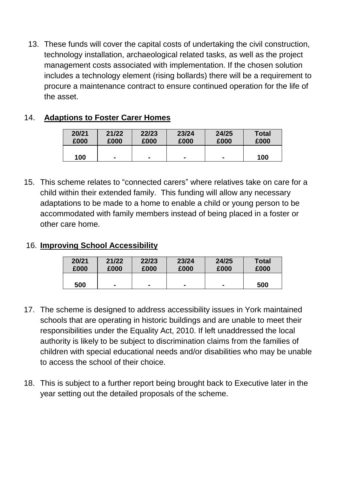13. These funds will cover the capital costs of undertaking the civil construction, technology installation, archaeological related tasks, as well as the project management costs associated with implementation. If the chosen solution includes a technology element (rising bollards) there will be a requirement to procure a maintenance contract to ensure continued operation for the life of the asset.

# 14. **Adaptions to Foster Carer Homes**

| 20/21 | 21/22          | 22/23          | 23/24          | 24/25          | <b>Total</b> |
|-------|----------------|----------------|----------------|----------------|--------------|
| £000  | £000           | £000           | £000           | £000           | £000         |
| 100   | $\blacksquare$ | $\blacksquare$ | $\blacksquare$ | $\blacksquare$ | 100          |

15. This scheme relates to "connected carers" where relatives take on care for a child within their extended family. This funding will allow any necessary adaptations to be made to a home to enable a child or young person to be accommodated with family members instead of being placed in a foster or other care home.

# 16. **Improving School Accessibility**

| 20/21 | 21/22          | 22/23 | 23/24 | 24/25 | <b>Total</b> |
|-------|----------------|-------|-------|-------|--------------|
| £000  | £000           | £000  | £000  | £000  | £000         |
| 500   | $\blacksquare$ |       |       |       | 500          |

- 17. The scheme is designed to address accessibility issues in York maintained schools that are operating in historic buildings and are unable to meet their responsibilities under the Equality Act, 2010. If left unaddressed the local authority is likely to be subject to discrimination claims from the families of children with special educational needs and/or disabilities who may be unable to access the school of their choice.
- 18. This is subject to a further report being brought back to Executive later in the year setting out the detailed proposals of the scheme.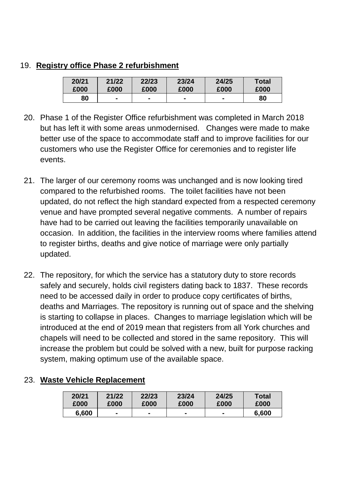#### 19. **Registry office Phase 2 refurbishment**

| 20/21 | 21/22 | 22/23 | 23/24 | 24/25 | Total |
|-------|-------|-------|-------|-------|-------|
| £000  | £000  | £000  | £000  | £000  | £000  |
| 80    |       |       |       |       | 80    |

- 20. Phase 1 of the Register Office refurbishment was completed in March 2018 but has left it with some areas unmodernised. Changes were made to make better use of the space to accommodate staff and to improve facilities for our customers who use the Register Office for ceremonies and to register life events.
- 21. The larger of our ceremony rooms was unchanged and is now looking tired compared to the refurbished rooms. The toilet facilities have not been updated, do not reflect the high standard expected from a respected ceremony venue and have prompted several negative comments. A number of repairs have had to be carried out leaving the facilities temporarily unavailable on occasion. In addition, the facilities in the interview rooms where families attend to register births, deaths and give notice of marriage were only partially updated.
- 22. The repository, for which the service has a statutory duty to store records safely and securely, holds civil registers dating back to 1837. These records need to be accessed daily in order to produce copy certificates of births, deaths and Marriages. The repository is running out of space and the shelving is starting to collapse in places. Changes to marriage legislation which will be introduced at the end of 2019 mean that registers from all York churches and chapels will need to be collected and stored in the same repository. This will increase the problem but could be solved with a new, built for purpose racking system, making optimum use of the available space.

**Total £000**

| 20/21 | 21/22          | 22/23          | 23/24          | 24/25 | <b>Total</b> |
|-------|----------------|----------------|----------------|-------|--------------|
| £000  | £000           | £000           | £000           | £000  | £000         |
| 6,600 | $\blacksquare$ | $\blacksquare$ | $\blacksquare$ |       | 6,600        |

# 23. **Waste Vehicle Replacement**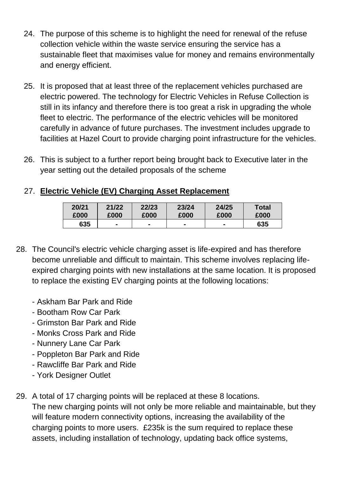- 24. The purpose of this scheme is to highlight the need for renewal of the refuse collection vehicle within the waste service ensuring the service has a sustainable fleet that maximises value for money and remains environmentally and energy efficient.
- 25. It is proposed that at least three of the replacement vehicles purchased are electric powered. The technology for Electric Vehicles in Refuse Collection is still in its infancy and therefore there is too great a risk in upgrading the whole fleet to electric. The performance of the electric vehicles will be monitored carefully in advance of future purchases. The investment includes upgrade to facilities at Hazel Court to provide charging point infrastructure for the vehicles.
- 26. This is subject to a further report being brought back to Executive later in the year setting out the detailed proposals of the scheme

# 27. **Electric Vehicle (EV) Charging Asset Replacement**

| 20/21 | 21/22          | 22/23          | 23/24 | 24/25 | Total |
|-------|----------------|----------------|-------|-------|-------|
| £000  | £000           | £000           | £000  | £000  | £000  |
| 635   | $\blacksquare$ | $\blacksquare$ |       |       | 635   |

- 28. The Council's electric vehicle charging asset is life-expired and has therefore become unreliable and difficult to maintain. This scheme involves replacing lifeexpired charging points with new installations at the same location. It is proposed to replace the existing EV charging points at the following locations:
	- Askham Bar Park and Ride
	- Bootham Row Car Park
	- Grimston Bar Park and Ride
	- Monks Cross Park and Ride
	- Nunnery Lane Car Park
	- Poppleton Bar Park and Ride
	- Rawcliffe Bar Park and Ride
	- York Designer Outlet
- 29. A total of 17 charging points will be replaced at these 8 locations. The new charging points will not only be more reliable and maintainable, but they will feature modern connectivity options, increasing the availability of the charging points to more users. £235k is the sum required to replace these assets, including installation of technology, updating back office systems,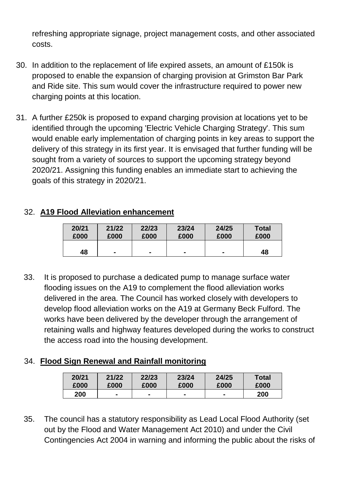refreshing appropriate signage, project management costs, and other associated costs.

- 30. In addition to the replacement of life expired assets, an amount of £150k is proposed to enable the expansion of charging provision at Grimston Bar Park and Ride site. This sum would cover the infrastructure required to power new charging points at this location.
- 31. A further £250k is proposed to expand charging provision at locations yet to be identified through the upcoming 'Electric Vehicle Charging Strategy'. This sum would enable early implementation of charging points in key areas to support the delivery of this strategy in its first year. It is envisaged that further funding will be sought from a variety of sources to support the upcoming strategy beyond 2020/21. Assigning this funding enables an immediate start to achieving the goals of this strategy in 2020/21.

# 32. **A19 Flood Alleviation enhancement**

| 20/21 | 21/22 | 22/23 | 23/24          | 24/25          | <b>Total</b> |
|-------|-------|-------|----------------|----------------|--------------|
| £000  | £000  | £000  | £000           | £000           | £000         |
| 48    |       |       | $\blacksquare$ | $\blacksquare$ | 48           |

33. It is proposed to purchase a dedicated pump to manage surface water flooding issues on the A19 to complement the flood alleviation works delivered in the area. The Council has worked closely with developers to develop flood alleviation works on the A19 at Germany Beck Fulford. The works have been delivered by the developer through the arrangement of retaining walls and highway features developed during the works to construct the access road into the housing development.

# 34. **Flood Sign Renewal and Rainfall monitoring**

| 20/21 | 21/22 | 22/23 | 23/24 | 24/25 | Total |
|-------|-------|-------|-------|-------|-------|
| £000  | £000  | £000  | £000  | £000  | £000  |
| 200   |       |       |       |       | 200   |

35. The council has a statutory responsibility as Lead Local Flood Authority (set out by the Flood and Water Management Act 2010) and under the Civil Contingencies Act 2004 in warning and informing the public about the risks of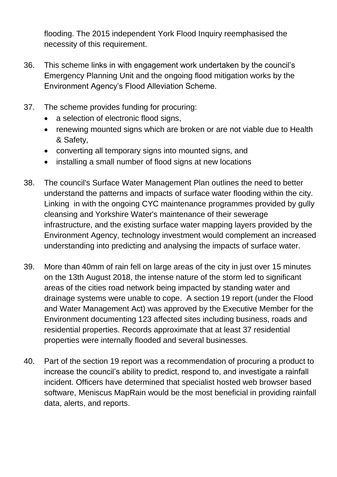flooding. The 2015 independent York Flood Inquiry reemphasised the necessity of this requirement.

- 36. This scheme links in with engagement work undertaken by the council's Emergency Planning Unit and the ongoing flood mitigation works by the Environment Agency's Flood Alleviation Scheme.
- 37. The scheme provides funding for procuring:
	- a selection of electronic flood signs,
	- renewing mounted signs which are broken or are not viable due to Health & Safety,
	- converting all temporary signs into mounted signs, and
	- installing a small number of flood signs at new locations
- 38. The council's Surface Water Management Plan outlines the need to better understand the patterns and impacts of surface water flooding within the city. Linking in with the ongoing CYC maintenance programmes provided by gully cleansing and Yorkshire Water's maintenance of their sewerage infrastructure, and the existing surface water mapping layers provided by the Environment Agency, technology investment would complement an increased understanding into predicting and analysing the impacts of surface water.
- 39. More than 40mm of rain fell on large areas of the city in just over 15 minutes on the 13th August 2018, the intense nature of the storm led to significant areas of the cities road network being impacted by standing water and drainage systems were unable to cope. A section 19 report (under the Flood and Water Management Act) was approved by the Executive Member for the Environment documenting 123 affected sites including business, roads and residential properties. Records approximate that at least 37 residential properties were internally flooded and several businesses.
- 40. Part of the section 19 report was a recommendation of procuring a product to increase the council's ability to predict, respond to, and investigate a rainfall incident. Officers have determined that specialist hosted web browser based software, Meniscus MapRain would be the most beneficial in providing rainfall data, alerts, and reports.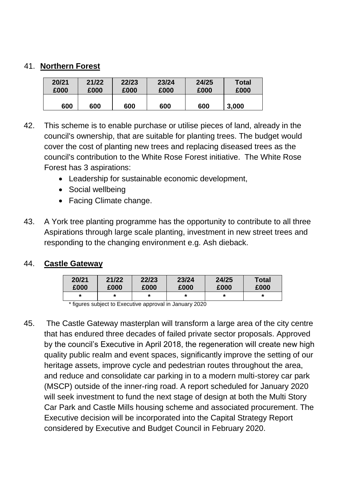#### 41. **Northern Forest**

| 20/21 | 21/22 | 22/23 | 23/24 | 24/25 | <b>Total</b> |
|-------|-------|-------|-------|-------|--------------|
| £000  | £000  | £000  | £000  | £000  | £000         |
| 600   | 600   | 600   | 600   | 600   | 3,000        |

- 42. This scheme is to enable purchase or utilise pieces of land, already in the council's ownership, that are suitable for planting trees. The budget would cover the cost of planting new trees and replacing diseased trees as the council's contribution to the White Rose Forest initiative. The White Rose Forest has 3 aspirations:
	- Leadership for sustainable economic development,
	- Social wellbeing
	- Facing Climate change.
- 43. A York tree planting programme has the opportunity to contribute to all three Aspirations through large scale planting, investment in new street trees and responding to the changing environment e.g. Ash dieback.

# 44. **Castle Gateway**

| 20/21 | 21/22 | 22/23 | 23/24 | 24/25 | Total |
|-------|-------|-------|-------|-------|-------|
| £000  | £000  | £000  | £000  | £000  | £000  |
| *     | ÷     |       | *     |       | ×     |

\* figures subject to Executive approval in January 2020

45. The Castle Gateway masterplan will transform a large area of the city centre that has endured three decades of failed private sector proposals. Approved by the council's Executive in April 2018, the regeneration will create new high quality public realm and event spaces, significantly improve the setting of our heritage assets, improve cycle and pedestrian routes throughout the area, and reduce and consolidate car parking in to a modern multi-storey car park (MSCP) outside of the inner-ring road. A report scheduled for January 2020 will seek investment to fund the next stage of design at both the Multi Story Car Park and Castle Mills housing scheme and associated procurement. The Executive decision will be incorporated into the Capital Strategy Report considered by Executive and Budget Council in February 2020.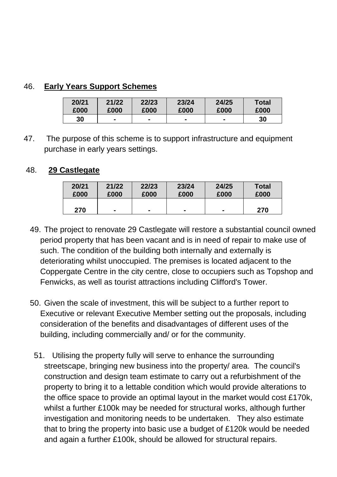# 46. **Early Years Support Schemes**

| 20/21 | 21/22          | 22/23          | 23/24 | 24/25 | <b>Total</b> |
|-------|----------------|----------------|-------|-------|--------------|
| £000  | £000           | £000           | £000  | £000  | £000         |
| 30    | $\blacksquare$ | $\blacksquare$ |       |       | 30           |

47. The purpose of this scheme is to support infrastructure and equipment purchase in early years settings.

### 48. **29 Castlegate**

| 20/21 | 21/22 | 22/23          | 23/24          | 24/25                    | <b>Total</b> |
|-------|-------|----------------|----------------|--------------------------|--------------|
| £000  | £000  | £000           | £000           | £000                     | £000         |
| 270   |       | $\blacksquare$ | $\blacksquare$ | $\overline{\phantom{0}}$ | 270          |

- 49. The project to renovate 29 Castlegate will restore a substantial council owned period property that has been vacant and is in need of repair to make use of such. The condition of the building both internally and externally is deteriorating whilst unoccupied. The premises is located adjacent to the Coppergate Centre in the city centre, close to occupiers such as Topshop and Fenwicks, as well as tourist attractions including Clifford's Tower.
- 50. Given the scale of investment, this will be subject to a further report to Executive or relevant Executive Member setting out the proposals, including consideration of the benefits and disadvantages of different uses of the building, including commercially and/ or for the community.
- 51. Utilising the property fully will serve to enhance the surrounding streetscape, bringing new business into the property/ area. The council's construction and design team estimate to carry out a refurbishment of the property to bring it to a lettable condition which would provide alterations to the office space to provide an optimal layout in the market would cost £170k, whilst a further £100k may be needed for structural works, although further investigation and monitoring needs to be undertaken. They also estimate that to bring the property into basic use a budget of £120k would be needed and again a further £100k, should be allowed for structural repairs.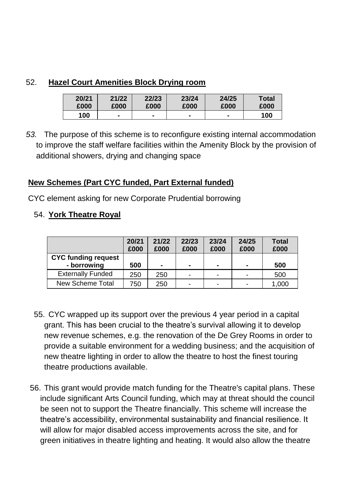# 52. **Hazel Court Amenities Block Drying room**

| 20/21 | 21/22 | 22/23 | 23/24 | 24/25 | <b>Total</b> |
|-------|-------|-------|-------|-------|--------------|
| £000  | £000  | £000  | £000  | £000  | £000         |
| 100   |       |       |       |       | 100          |

*53.* The purpose of this scheme is to reconfigure existing internal accommodation to improve the staff welfare facilities within the Amenity Block by the provision of additional showers, drying and changing space

# **New Schemes (Part CYC funded, Part External funded)**

CYC element asking for new Corporate Prudential borrowing

#### 54. **York Theatre Royal**

|                                           | 20/21<br>£000 | 21/22<br>£000  | 22/23<br>£000            | 23/24<br>£000            | 24/25<br>£000  | <b>Total</b><br>£000 |
|-------------------------------------------|---------------|----------------|--------------------------|--------------------------|----------------|----------------------|
| <b>CYC funding request</b><br>- borrowing | 500           | $\blacksquare$ | $\blacksquare$           |                          | $\blacksquare$ | 500                  |
| <b>Externally Funded</b>                  | 250           | 250            | $\overline{\phantom{0}}$ | -                        |                | 500                  |
| New Scheme Total                          | 750           | 250            | $\overline{\phantom{0}}$ | $\overline{\phantom{0}}$ |                | 1,000                |

- 55. CYC wrapped up its support over the previous 4 year period in a capital grant. This has been crucial to the theatre's survival allowing it to develop new revenue schemes, e.g. the renovation of the De Grey Rooms in order to provide a suitable environment for a wedding business; and the acquisition of new theatre lighting in order to allow the theatre to host the finest touring theatre productions available.
- 56. This grant would provide match funding for the Theatre's capital plans. These include significant Arts Council funding, which may at threat should the council be seen not to support the Theatre financially. This scheme will increase the theatre's accessibility, environmental sustainability and financial resilience. It will allow for major disabled access improvements across the site, and for green initiatives in theatre lighting and heating. It would also allow the theatre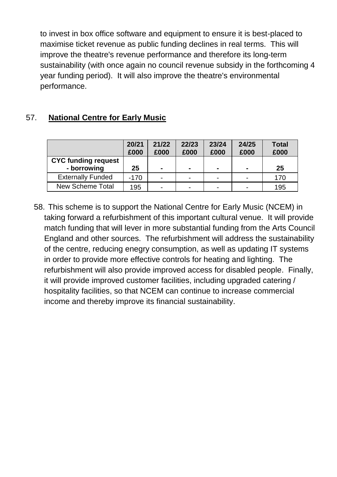to invest in box office software and equipment to ensure it is best-placed to maximise ticket revenue as public funding declines in real terms. This will improve the theatre's revenue performance and therefore its long-term sustainability (with once again no council revenue subsidy in the forthcoming 4 year funding period). It will also improve the theatre's environmental performance.

# 57. **National Centre for Early Music**

|                                           | 20/21<br>£000 | 21/22<br>£000 | 22/23<br>£000            | 23/24<br>£000  | 24/25<br>£000  | <b>Total</b><br>£000 |
|-------------------------------------------|---------------|---------------|--------------------------|----------------|----------------|----------------------|
| <b>CYC funding request</b><br>- borrowing | 25            |               | $\blacksquare$           | $\blacksquare$ | $\blacksquare$ | 25                   |
| <b>Externally Funded</b>                  | $-170$        | -             | $\blacksquare$           | -              | $\blacksquare$ | 170                  |
| <b>New Scheme Total</b>                   | 195           | -             | $\overline{\phantom{0}}$ |                |                | 195                  |

58. This scheme is to support the National Centre for Early Music (NCEM) in taking forward a refurbishment of this important cultural venue. It will provide match funding that will lever in more substantial funding from the Arts Council England and other sources. The refurbishment will address the sustainability of the centre, reducing enegry consumption, as well as updating IT systems in order to provide more effective controls for heating and lighting. The refurbishment will also provide improved access for disabled people. Finally, it will provide improved customer facilities, including upgraded catering / hospitality facilities, so that NCEM can continue to increase commercial income and thereby improve its financial sustainability.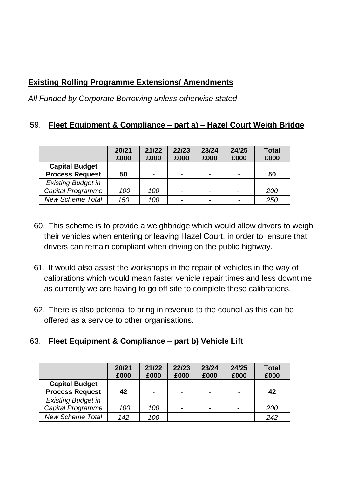# **Existing Rolling Programme Extensions/ Amendments**

*All Funded by Corporate Borrowing unless otherwise stated*

# 59. **Fleet Equipment & Compliance – part a) – Hazel Court Weigh Bridge**

|                           | 20/21<br>£000 | 21/22<br>£000 | 22/23<br>£000            | 23/24<br>£000            | 24/25<br>£000            | <b>Total</b><br>£000 |
|---------------------------|---------------|---------------|--------------------------|--------------------------|--------------------------|----------------------|
| <b>Capital Budget</b>     |               |               |                          |                          |                          |                      |
| <b>Process Request</b>    | 50            |               | $\blacksquare$           |                          | $\blacksquare$           | 50                   |
| <b>Existing Budget in</b> |               |               |                          |                          |                          |                      |
| <b>Capital Programme</b>  | 100           | 100           | $\overline{\phantom{0}}$ |                          | $\overline{\phantom{0}}$ | 200                  |
| <b>New Scheme Total</b>   | 150           | 100           | $\overline{\phantom{a}}$ | $\overline{\phantom{0}}$ |                          | 250                  |

- 60. This scheme is to provide a weighbridge which would allow drivers to weigh their vehicles when entering or leaving Hazel Court, in order to ensure that drivers can remain compliant when driving on the public highway.
- 61. It would also assist the workshops in the repair of vehicles in the way of calibrations which would mean faster vehicle repair times and less downtime as currently we are having to go off site to complete these calibrations.
- 62. There is also potential to bring in revenue to the council as this can be offered as a service to other organisations.

# 63. **Fleet Equipment & Compliance – part b) Vehicle Lift**

|                           | 20/21 | 21/22 | 22/23                    | 23/24                    | 24/25          | <b>Total</b> |
|---------------------------|-------|-------|--------------------------|--------------------------|----------------|--------------|
|                           | £000  | £000  | £000                     | £000                     | £000           | £000         |
| <b>Capital Budget</b>     |       |       |                          |                          |                |              |
| <b>Process Request</b>    | 42    |       |                          | $\blacksquare$           | $\blacksquare$ | 42           |
| <b>Existing Budget in</b> |       |       |                          |                          |                |              |
| Capital Programme         | 100   | 100   | $\overline{\phantom{a}}$ | $\overline{\phantom{0}}$ |                | 200          |
| <b>New Scheme Total</b>   | 142   | 100   | $\overline{\phantom{a}}$ | $\overline{\phantom{0}}$ | $\overline{ }$ | 242          |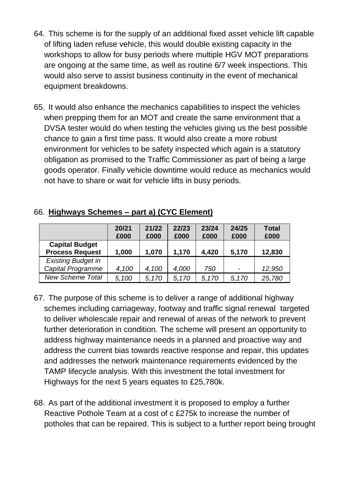- 64. This scheme is for the supply of an additional fixed asset vehicle lift capable of lifting laden refuse vehicle, this would double existing capacity in the workshops to allow for busy periods where multiple HGV MOT preparations are ongoing at the same time, as well as routine 6/7 week inspections. This would also serve to assist business continuity in the event of mechanical equipment breakdowns.
- 65. It would also enhance the mechanics capabilities to inspect the vehicles when prepping them for an MOT and create the same environment that a DVSA tester would do when testing the vehicles giving us the best possible chance to gain a first time pass. It would also create a more robust environment for vehicles to be safety inspected which again is a statutory obligation as promised to the Traffic Commissioner as part of being a large goods operator. Finally vehicle downtime would reduce as mechanics would not have to share or wait for vehicle lifts in busy periods.

|                                                 | 20/21<br>£000 | 21/22<br>£000 | 22/23<br>£000 | 23/24<br>£000 | 24/25<br>£000            | <b>Total</b><br>£000 |
|-------------------------------------------------|---------------|---------------|---------------|---------------|--------------------------|----------------------|
| <b>Capital Budget</b><br><b>Process Request</b> | 1,000         | 1,070         | 1,170         | 4,420         | 5,170                    | 12,830               |
| <b>Existing Budget in</b>                       |               |               |               |               |                          |                      |
| <b>Capital Programme</b>                        | 4,100         | 4,100         | 4,000         | 750           | $\overline{\phantom{a}}$ | 12,950               |
| <b>New Scheme Total</b>                         | 5,100         | 5,170         | 5,170         | 5,170         | 5,170                    | 25,780               |

#### 66. **Highways Schemes – part a) (CYC Element)**

- 67. The purpose of this scheme is to deliver a range of additional highway schemes including carriageway, footway and traffic signal renewal targeted to deliver wholescale repair and renewal of areas of the network to prevent further deterioration in condition. The scheme will present an opportunity to address highway maintenance needs in a planned and proactive way and address the current bias towards reactive response and repair, this updates and addresses the network maintenance requirements evidenced by the TAMP lifecycle analysis. With this investment the total investment for Highways for the next 5 years equates to £25,780k.
- 68. As part of the additional investment it is proposed to employ a further Reactive Pothole Team at a cost of c £275k to increase the number of potholes that can be repaired. This is subject to a further report being brought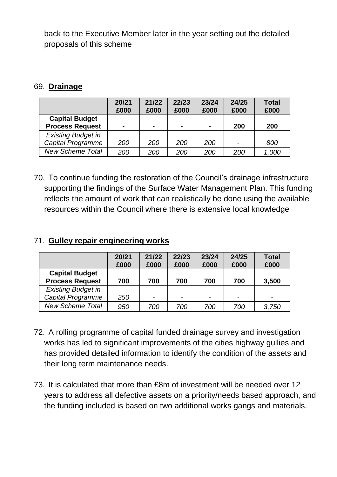back to the Executive Member later in the year setting out the detailed proposals of this scheme

### 69. **Drainage**

|                                                 | 20/21<br>£000 | 21/22<br>£000 | 22/23<br>£000  | 23/24<br>£000 | 24/25<br>£000  | <b>Total</b><br>£000 |
|-------------------------------------------------|---------------|---------------|----------------|---------------|----------------|----------------------|
| <b>Capital Budget</b><br><b>Process Request</b> | -             |               | $\blacksquare$ | -             | 200            | 200                  |
| <b>Existing Budget in</b>                       |               |               |                |               |                |                      |
| Capital Programme                               | 200           | 200           | 200            | 200           | $\overline{a}$ | 800                  |
| <b>New Scheme Total</b>                         | 200           | 200           | 200            | 200           | 200            | 1,000                |

70. To continue funding the restoration of the Council's drainage infrastructure supporting the findings of the Surface Water Management Plan. This funding reflects the amount of work that can realistically be done using the available resources within the Council where there is extensive local knowledge

#### 71. **Gulley repair engineering works 20/21 21/22 22/23**

|                           | 20/21 | 21/22                    | 22/23                    | 23/24 | 24/25                    | <b>Total</b>             |
|---------------------------|-------|--------------------------|--------------------------|-------|--------------------------|--------------------------|
|                           | £000  | £000                     | £000                     | £000  | £000                     | £000                     |
| <b>Capital Budget</b>     |       |                          |                          |       |                          |                          |
| <b>Process Request</b>    | 700   | 700                      | 700                      | 700   | 700                      | 3,500                    |
| <b>Existing Budget in</b> |       |                          |                          |       |                          |                          |
| Capital Programme         | 250   | $\overline{\phantom{a}}$ | $\overline{\phantom{0}}$ | -     | $\overline{\phantom{0}}$ | $\overline{\phantom{0}}$ |
| <b>New Scheme Total</b>   | 950   | 700                      | 700                      | 700   | 700                      | 3,750                    |

- 72. A rolling programme of capital funded drainage survey and investigation works has led to significant improvements of the cities highway gullies and has provided detailed information to identify the condition of the assets and their long term maintenance needs.
- 73. It is calculated that more than £8m of investment will be needed over 12 years to address all defective assets on a priority/needs based approach, and the funding included is based on two additional works gangs and materials.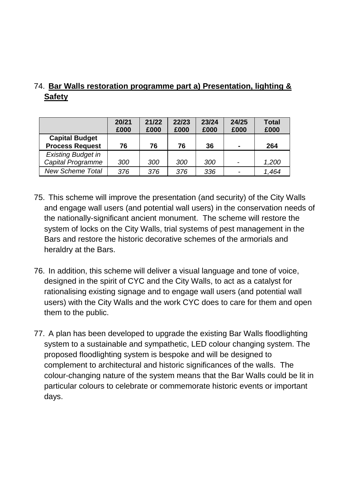# 74. **Bar Walls restoration programme part a) Presentation, lighting & Safety**

|                           | 20/21<br>£000 | 21/22<br>£000 | 22/23<br>£000 | 23/24<br>£000 | 24/25<br>£000            | <b>Total</b><br>£000 |
|---------------------------|---------------|---------------|---------------|---------------|--------------------------|----------------------|
| <b>Capital Budget</b>     |               |               |               |               |                          |                      |
| <b>Process Request</b>    | 76            | 76            | 76            | 36            | $\blacksquare$           | 264                  |
| <b>Existing Budget in</b> |               |               |               |               |                          |                      |
| Capital Programme         | 300           | 300           | 300           | 300           | $\overline{\phantom{0}}$ | 1,200                |
| <b>New Scheme Total</b>   | 376           | 376           | 376           | 336           |                          | 1,464                |

- 75. This scheme will improve the presentation (and security) of the City Walls and engage wall users (and potential wall users) in the conservation needs of the nationally-significant ancient monument. The scheme will restore the system of locks on the City Walls, trial systems of pest management in the Bars and restore the historic decorative schemes of the armorials and heraldry at the Bars.
- 76. In addition, this scheme will deliver a visual language and tone of voice, designed in the spirit of CYC and the City Walls, to act as a catalyst for rationalising existing signage and to engage wall users (and potential wall users) with the City Walls and the work CYC does to care for them and open them to the public.
- 77. A plan has been developed to upgrade the existing Bar Walls floodlighting system to a sustainable and sympathetic, LED colour changing system. The proposed floodlighting system is bespoke and will be designed to complement to architectural and historic significances of the walls. The colour-changing nature of the system means that the Bar Walls could be lit in particular colours to celebrate or commemorate historic events or important days.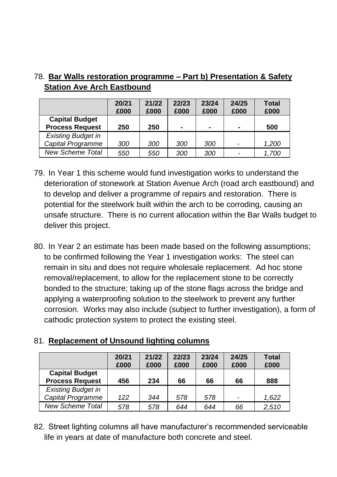|                                                 | 20/21<br>£000 | 21/22<br>£000 | 22/23<br>£000  | 23/24<br>£000 | 24/25<br>£000  | <b>Total</b><br>£000 |
|-------------------------------------------------|---------------|---------------|----------------|---------------|----------------|----------------------|
| <b>Capital Budget</b><br><b>Process Request</b> | 250           | 250           | $\blacksquare$ | -             | $\blacksquare$ | 500                  |
| <b>Existing Budget in</b>                       |               |               |                |               |                |                      |
| Capital Programme                               | 300           | 300           | 300            | 300           | $\overline{a}$ | 1,200                |
| <b>New Scheme Total</b>                         | 550           | 550           | 300            | 300           |                | 1,700                |

# 78. **Bar Walls restoration programme – Part b) Presentation & Safety Station Ave Arch Eastbound**

- 79. In Year 1 this scheme would fund investigation works to understand the deterioration of stonework at Station Avenue Arch (road arch eastbound) and to develop and deliver a programme of repairs and restoration. There is potential for the steelwork built within the arch to be corroding, causing an unsafe structure. There is no current allocation within the Bar Walls budget to deliver this project.
- 80. In Year 2 an estimate has been made based on the following assumptions; to be confirmed following the Year 1 investigation works: The steel can remain in situ and does not require wholesale replacement. Ad hoc stone removal/replacement, to allow for the replacement stone to be correctly bonded to the structure; taking up of the stone flags across the bridge and applying a waterproofing solution to the steelwork to prevent any further corrosion. Works may also include (subject to further investigation), a form of cathodic protection system to protect the existing steel.

# 81. **Replacement of Unsound lighting columns**

|                           | 20/21<br>£000 | 21/22<br>£000 | 22/23<br>£000 | 23/24<br>£000 | 24/25<br>£000            | <b>Total</b><br>£000 |
|---------------------------|---------------|---------------|---------------|---------------|--------------------------|----------------------|
| <b>Capital Budget</b>     |               |               |               |               |                          |                      |
| <b>Process Request</b>    | 456           | 234           | 66            | 66            | 66                       | 888                  |
| <b>Existing Budget in</b> |               |               |               |               |                          |                      |
| Capital Programme         | 122           | 344           | 578           | 578           | $\overline{\phantom{0}}$ | 1,622                |
| <b>New Scheme Total</b>   | 578           | 578           | 644           | 644           | 66                       | 2,510                |

82. Street lighting columns all have manufacturer's recommended serviceable life in years at date of manufacture both concrete and steel.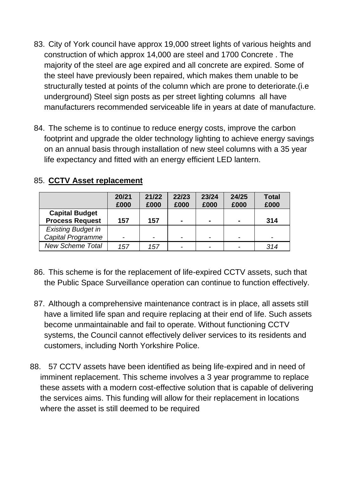- 83. City of York council have approx 19,000 street lights of various heights and construction of which approx 14,000 are steel and 1700 Concrete . The majority of the steel are age expired and all concrete are expired. Some of the steel have previously been repaired, which makes them unable to be structurally tested at points of the column which are prone to deteriorate.(i.e underground) Steel sign posts as per street lighting columns all have manufacturers recommended serviceable life in years at date of manufacture.
- 84. The scheme is to continue to reduce energy costs, improve the carbon footprint and upgrade the older technology lighting to achieve energy savings on an annual basis through installation of new steel columns with a 35 year life expectancy and fitted with an energy efficient LED lantern.

|                           | 20/21<br>£000 | 21/22<br>£000 | 22/23<br>£000            | 23/24<br>£000  | 24/25<br>£000            | <b>Total</b><br>£000 |
|---------------------------|---------------|---------------|--------------------------|----------------|--------------------------|----------------------|
| <b>Capital Budget</b>     |               |               |                          |                |                          |                      |
| <b>Process Request</b>    | 157           | 157           | ۰                        | $\blacksquare$ | $\blacksquare$           | 314                  |
| <b>Existing Budget in</b> |               |               |                          |                |                          |                      |
| <b>Capital Programme</b>  |               | -             | $\overline{\phantom{a}}$ |                | $\overline{\phantom{0}}$ | -                    |
| <b>New Scheme Total</b>   | 157           | 157           | $\overline{\phantom{a}}$ |                |                          | 314                  |

### 85. **CCTV Asset replacement**

- 86. This scheme is for the replacement of life-expired CCTV assets, such that the Public Space Surveillance operation can continue to function effectively.
- 87. Although a comprehensive maintenance contract is in place, all assets still have a limited life span and require replacing at their end of life. Such assets become unmaintainable and fail to operate. Without functioning CCTV systems, the Council cannot effectively deliver services to its residents and customers, including North Yorkshire Police.
- 88. 57 CCTV assets have been identified as being life-expired and in need of imminent replacement. This scheme involves a 3 year programme to replace these assets with a modern cost-effective solution that is capable of delivering the services aims. This funding will allow for their replacement in locations where the asset is still deemed to be required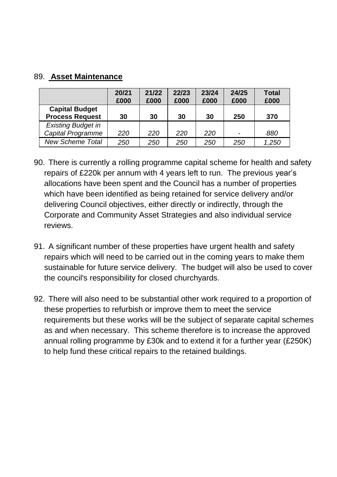### 89. **Asset Maintenance**

|                           | 20/21 | 21/22 | 22/23 | 23/24 | 24/25 | <b>Total</b> |
|---------------------------|-------|-------|-------|-------|-------|--------------|
|                           | £000  | £000  | £000  | £000  | £000  | £000         |
| <b>Capital Budget</b>     |       |       |       |       |       |              |
| <b>Process Request</b>    | 30    | 30    | 30    | 30    | 250   | 370          |
| <b>Existing Budget in</b> |       |       |       |       |       |              |
| <b>Capital Programme</b>  | 220   | 220   | 220   | 220   |       | 880          |
| <b>New Scheme Total</b>   | 250   | 250   | 250   | 250   | 250   | 1,250        |

- 90. There is currently a rolling programme capital scheme for health and safety repairs of £220k per annum with 4 years left to run. The previous year's allocations have been spent and the Council has a number of properties which have been identified as being retained for service delivery and/or delivering Council objectives, either directly or indirectly, through the Corporate and Community Asset Strategies and also individual service reviews.
- 91. A significant number of these properties have urgent health and safety repairs which will need to be carried out in the coming years to make them sustainable for future service delivery. The budget will also be used to cover the council's responsibility for closed churchyards.
- 92. There will also need to be substantial other work required to a proportion of these properties to refurbish or improve them to meet the service requirements but these works will be the subject of separate capital schemes as and when necessary. This scheme therefore is to increase the approved annual rolling programme by £30k and to extend it for a further year (£250K) to help fund these critical repairs to the retained buildings.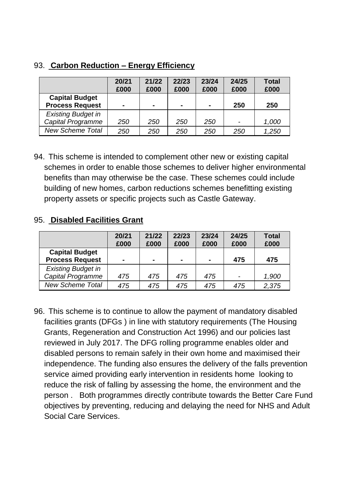| 93. Carbon Reduction - Energy Efficiency |  |  |  |  |  |
|------------------------------------------|--|--|--|--|--|
|------------------------------------------|--|--|--|--|--|

|                                                 | 20/21<br>£000  | 21/22<br>£000  | 22/23<br>£000  | 23/24<br>£000  | 24/25<br>£000 | <b>Total</b><br>£000 |
|-------------------------------------------------|----------------|----------------|----------------|----------------|---------------|----------------------|
| <b>Capital Budget</b><br><b>Process Request</b> | $\blacksquare$ | $\blacksquare$ | $\blacksquare$ | $\blacksquare$ | 250           | 250                  |
| <b>Existing Budget in</b>                       |                |                |                |                |               |                      |
| Capital Programme                               | 250            | 250            | 250            | 250            |               | 1,000                |
| <b>New Scheme Total</b>                         | 250            | 250            | 250            | 250            | 250           | 1,250                |

94. This scheme is intended to complement other new or existing capital schemes in order to enable those schemes to deliver higher environmental benefits than may otherwise be the case. These schemes could include building of new homes, carbon reductions schemes benefitting existing property assets or specific projects such as Castle Gateway.

#### 95. **Disabled Facilities Grant**

|                           | 20/21<br>£000  | 21/22<br>£000 | 22/23<br>£000  | 23/24<br>£000 | 24/25<br>£000 | <b>Total</b><br>£000 |
|---------------------------|----------------|---------------|----------------|---------------|---------------|----------------------|
| <b>Capital Budget</b>     |                |               |                |               |               |                      |
| <b>Process Request</b>    | $\blacksquare$ |               | $\blacksquare$ |               | 475           | 475                  |
| <b>Existing Budget in</b> |                |               |                |               |               |                      |
| Capital Programme         | 475            | 475           | 475            | 475           |               | 1,900                |
| <b>New Scheme Total</b>   | 475            | 475           | 475            | 475           | 475           | 2,375                |

96. This scheme is to continue to allow the payment of mandatory disabled facilities grants (DFGs ) in line with statutory requirements (The Housing Grants, Regeneration and Construction Act 1996) and our policies last reviewed in July 2017. The DFG rolling programme enables older and disabled persons to remain safely in their own home and maximised their independence. The funding also ensures the delivery of the falls prevention service aimed providing early intervention in residents home looking to reduce the risk of falling by assessing the home, the environment and the person . Both programmes directly contribute towards the Better Care Fund objectives by preventing, reducing and delaying the need for NHS and Adult Social Care Services.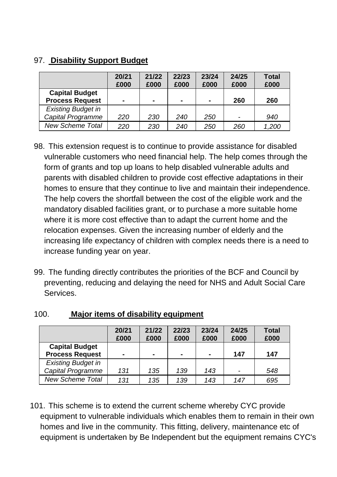# 97. **Disability Support Budget**

|                           | 20/21<br>£000 | 21/22<br>£000 | 22/23<br>£000  | 23/24<br>£000 | 24/25<br>£000 | <b>Total</b><br>£000 |
|---------------------------|---------------|---------------|----------------|---------------|---------------|----------------------|
| <b>Capital Budget</b>     |               |               |                |               |               |                      |
| <b>Process Request</b>    | -             |               | $\blacksquare$ | $\sim$        | 260           | 260                  |
| <b>Existing Budget in</b> |               |               |                |               |               |                      |
| Capital Programme         | 220           | 230           | 240            | 250           |               | 940                  |
| <b>New Scheme Total</b>   | 220           | 230           | 240            | 250           | 260           | 1,200                |

- 98. This extension request is to continue to provide assistance for disabled vulnerable customers who need financial help. The help comes through the form of grants and top up loans to help disabled vulnerable adults and parents with disabled children to provide cost effective adaptations in their homes to ensure that they continue to live and maintain their independence. The help covers the shortfall between the cost of the eligible work and the mandatory disabled facilities grant, or to purchase a more suitable home where it is more cost effective than to adapt the current home and the relocation expenses. Given the increasing number of elderly and the increasing life expectancy of children with complex needs there is a need to increase funding year on year.
- 99. The funding directly contributes the priorities of the BCF and Council by preventing, reducing and delaying the need for NHS and Adult Social Care Services.

|                           | 20/21<br>£000  | 21/22<br>£000 | 22/23<br>£000  | 23/24<br>£000 | 24/25<br>£000 | <b>Total</b><br>£000 |
|---------------------------|----------------|---------------|----------------|---------------|---------------|----------------------|
| <b>Capital Budget</b>     |                |               |                |               |               |                      |
| <b>Process Request</b>    | $\blacksquare$ | ۰             | $\blacksquare$ | -             | 147           | 147                  |
| <b>Existing Budget in</b> |                |               |                |               |               |                      |
| Capital Programme         | 131            | 135           | 139            | 143           |               | 548                  |
| <b>New Scheme Total</b>   | 131            | 135           | 139            | 143           | 147           | 695                  |

### 100. **Major items of disability equipment**

101. This scheme is to extend the current scheme whereby CYC provide equipment to vulnerable individuals which enables them to remain in their own homes and live in the community. This fitting, delivery, maintenance etc of equipment is undertaken by Be Independent but the equipment remains CYC's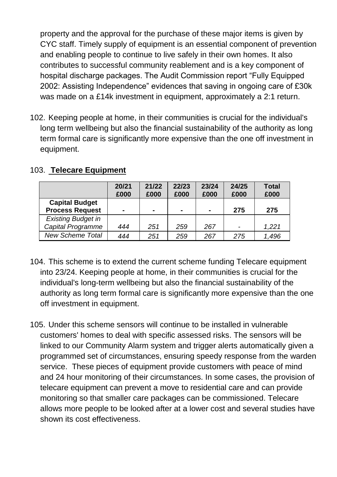property and the approval for the purchase of these major items is given by CYC staff. Timely supply of equipment is an essential component of prevention and enabling people to continue to live safely in their own homes. It also contributes to successful community reablement and is a key component of hospital discharge packages. The Audit Commission report "Fully Equipped 2002: Assisting Independence" evidences that saving in ongoing care of £30k was made on a £14k investment in equipment, approximately a 2:1 return.

102. Keeping people at home, in their communities is crucial for the individual's long term wellbeing but also the financial sustainability of the authority as long term formal care is significantly more expensive than the one off investment in equipment.

|                           | 20/21 | 21/22 | 22/23          | 23/24 | 24/25 | <b>Total</b> |
|---------------------------|-------|-------|----------------|-------|-------|--------------|
|                           | £000  | £000  | £000           | £000  | £000  | £000         |
| <b>Capital Budget</b>     |       |       |                |       |       |              |
| <b>Process Request</b>    | -     |       | $\blacksquare$ |       | 275   | 275          |
| <b>Existing Budget in</b> |       |       |                |       |       |              |
| <b>Capital Programme</b>  | 444   | 251   | 259            | 267   |       | 1,221        |
| <b>New Scheme Total</b>   | 444   | 251   | 259            | 267   | 275   | 1,496        |

### 103. **Telecare Equipment**

- 104. This scheme is to extend the current scheme funding Telecare equipment into 23/24. Keeping people at home, in their communities is crucial for the individual's long-term wellbeing but also the financial sustainability of the authority as long term formal care is significantly more expensive than the one off investment in equipment.
- 105. Under this scheme sensors will continue to be installed in vulnerable customers' homes to deal with specific assessed risks. The sensors will be linked to our Community Alarm system and trigger alerts automatically given a programmed set of circumstances, ensuring speedy response from the warden service. These pieces of equipment provide customers with peace of mind and 24 hour monitoring of their circumstances. In some cases, the provision of telecare equipment can prevent a move to residential care and can provide monitoring so that smaller care packages can be commissioned. Telecare allows more people to be looked after at a lower cost and several studies have shown its cost effectiveness.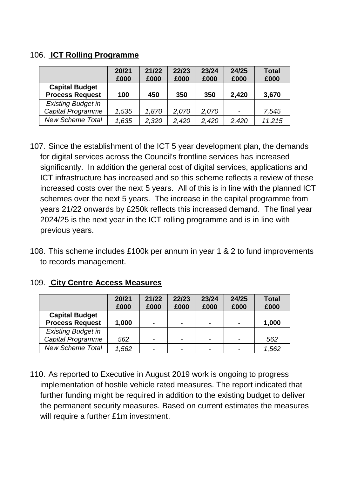#### 106. **ICT Rolling Programme**

|                                                 | 20/21<br>£000 | 21/22<br>£000 | 22/23<br>£000 | 23/24<br>£000 | 24/25<br>£000 | <b>Total</b><br>£000 |
|-------------------------------------------------|---------------|---------------|---------------|---------------|---------------|----------------------|
| <b>Capital Budget</b><br><b>Process Request</b> | 100           | 450           | 350           | 350           | 2,420         | 3,670                |
| <b>Existing Budget in</b>                       |               |               |               |               |               |                      |
| Capital Programme                               | 1,535         | 1,870         | 2.070         | 2.070         |               | 7,545                |
| <b>New Scheme Total</b>                         | 1,635         | 2,320         | 2,420         | 2,420         | 2,420         | 11,215               |

- 107. Since the establishment of the ICT 5 year development plan, the demands for digital services across the Council's frontline services has increased significantly. In addition the general cost of digital services, applications and ICT infrastructure has increased and so this scheme reflects a review of these increased costs over the next 5 years. All of this is in line with the planned ICT schemes over the next 5 years. The increase in the capital programme from years 21/22 onwards by £250k reflects this increased demand. The final year 2024/25 is the next year in the ICT rolling programme and is in line with previous years.
- 108. This scheme includes £100k per annum in year 1 & 2 to fund improvements to records management.

|                           | 20/21 | 21/22 | 22/23          | 23/24 | 24/25 | <b>Total</b> |
|---------------------------|-------|-------|----------------|-------|-------|--------------|
|                           | £000  | £000  | £000           | £000  | £000  | £000         |
| <b>Capital Budget</b>     |       |       |                |       |       |              |
| <b>Process Request</b>    | 1,000 |       | $\blacksquare$ | -     |       | 1,000        |
| <b>Existing Budget in</b> |       |       |                |       |       |              |
| Capital Programme         | 562   | -     |                |       |       | 562          |
| <b>New Scheme Total</b>   | 1,562 |       |                |       |       | 1,562        |

#### 109. **City Centre Access Measures**

110. As reported to Executive in August 2019 work is ongoing to progress implementation of hostile vehicle rated measures. The report indicated that further funding might be required in addition to the existing budget to deliver the permanent security measures. Based on current estimates the measures will require a further £1m investment.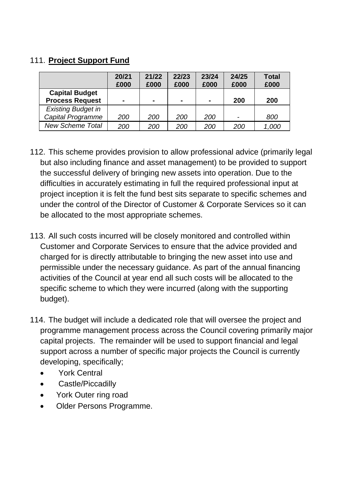# 111. **Project Support Fund**

|                           | 20/21<br>£000 | 21/22<br>£000 | 22/23<br>£000  | 23/24<br>£000  | 24/25<br>£000            | <b>Total</b><br>£000 |
|---------------------------|---------------|---------------|----------------|----------------|--------------------------|----------------------|
| <b>Capital Budget</b>     |               |               |                |                |                          |                      |
| <b>Process Request</b>    | -             |               | $\blacksquare$ | $\blacksquare$ | 200                      | 200                  |
| <b>Existing Budget in</b> |               |               |                |                |                          |                      |
| <b>Capital Programme</b>  | 200           | 200           | 200            | 200            | $\overline{\phantom{0}}$ | 800                  |
| <b>New Scheme Total</b>   | 200           | 200           | 200            | 200            | 200                      | 1,000                |

- 112. This scheme provides provision to allow professional advice (primarily legal but also including finance and asset management) to be provided to support the successful delivery of bringing new assets into operation. Due to the difficulties in accurately estimating in full the required professional input at project inception it is felt the fund best sits separate to specific schemes and under the control of the Director of Customer & Corporate Services so it can be allocated to the most appropriate schemes.
- 113. All such costs incurred will be closely monitored and controlled within Customer and Corporate Services to ensure that the advice provided and charged for is directly attributable to bringing the new asset into use and permissible under the necessary guidance. As part of the annual financing activities of the Council at year end all such costs will be allocated to the specific scheme to which they were incurred (along with the supporting budget).
- 114. The budget will include a dedicated role that will oversee the project and programme management process across the Council covering primarily major capital projects. The remainder will be used to support financial and legal support across a number of specific major projects the Council is currently developing, specifically;
	- York Central
	- Castle/Piccadilly
	- York Outer ring road
	- Older Persons Programme.